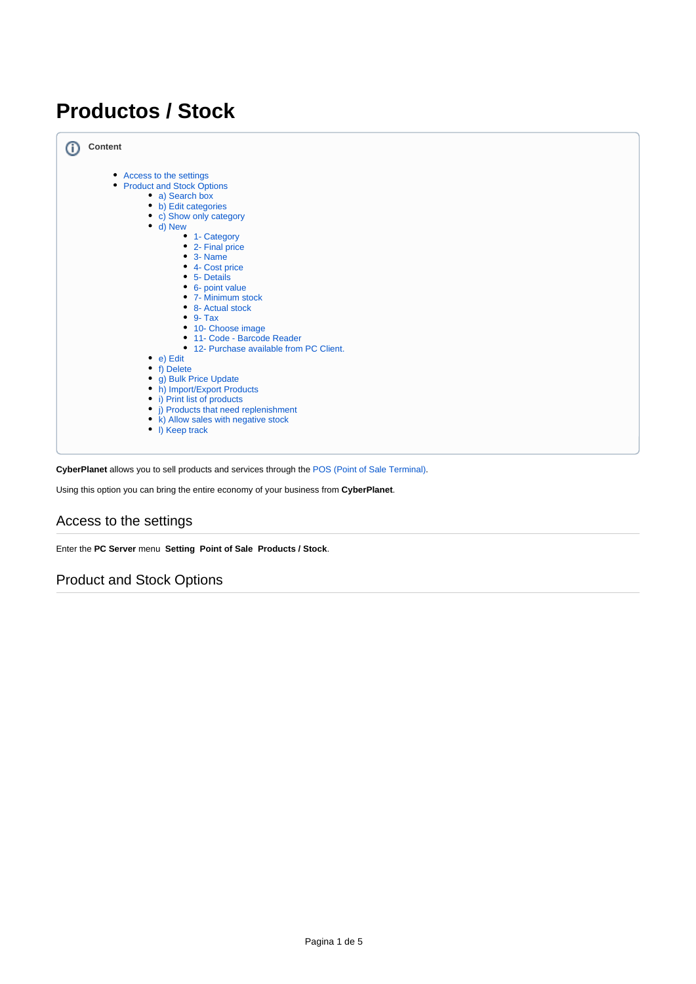# **Productos / Stock**

| <b>Content</b>                                                                                                                                                                                                                                                                                                                                                                                                                                                 |
|----------------------------------------------------------------------------------------------------------------------------------------------------------------------------------------------------------------------------------------------------------------------------------------------------------------------------------------------------------------------------------------------------------------------------------------------------------------|
| • Access to the settings<br>• Product and Stock Options<br>• a) Search box<br>• b) Edit categories<br>• c) Show only category<br>$\bullet$ d) New<br>• 1- Category<br>• 2- Final price<br>$\bullet$ 3- Name<br>• 4- Cost price<br>• 5- Details<br>6- point value<br>• 7- Minimum stock<br>• 8- Actual stock<br>$\bullet$ 9- Tax<br>• 10- Choose image<br>• 11- Code - Barcode Reader<br>• 12- Purchase available from PC Client.<br>• $e)$ Edit<br>• f) Delete |
| • g) Bulk Price Update                                                                                                                                                                                                                                                                                                                                                                                                                                         |
| • h) Import/Export Products                                                                                                                                                                                                                                                                                                                                                                                                                                    |
| • i) Print list of products                                                                                                                                                                                                                                                                                                                                                                                                                                    |
| • j) Products that need replenishment<br>• k) Allow sales with negative stock                                                                                                                                                                                                                                                                                                                                                                                  |
| • I) Keep track                                                                                                                                                                                                                                                                                                                                                                                                                                                |
|                                                                                                                                                                                                                                                                                                                                                                                                                                                                |

**CyberPlanet** allows you to sell products and services through the [POS \(Point of Sale Terminal\)](http://docs.tenaxsoft.com/display/CYB65/TPV%3A+Terminal+punto+de+venta).

Using this option you can bring the entire economy of your business from **CyberPlanet**.

# <span id="page-0-0"></span>Access to the settings

Enter the **PC Server** menu **Setting Point of Sale Products / Stock**.

## <span id="page-0-1"></span>Product and Stock Options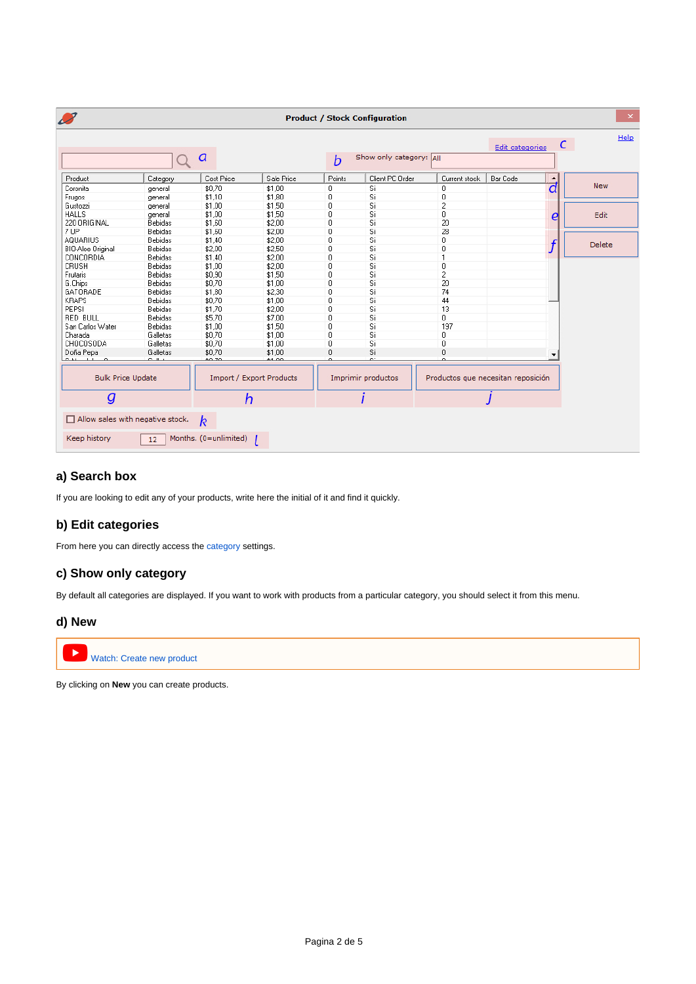| $\mathcal{L}$                                        |                |                       |                                                          |              | <b>Product / Stock Configuration</b> |                |                        |                  | $\pmb{\times}$ |
|------------------------------------------------------|----------------|-----------------------|----------------------------------------------------------|--------------|--------------------------------------|----------------|------------------------|------------------|----------------|
|                                                      |                | a                     |                                                          | b            | Show only category: All              |                | <b>Edit categories</b> | C                | Help           |
| Product                                              | Category       | Cost Price            | Sale Price                                               | Points       | Client PC Order                      | Current stock  | <b>Bar Code</b>        | $\blacktriangle$ |                |
| Coronita                                             | general        | \$0.70                | \$1.00                                                   | $\mathbf{0}$ | Si                                   | 0              |                        | d                | <b>New</b>     |
| Frugos                                               | general        | \$1,10                | \$1,80                                                   | 0            | Si                                   | 0              |                        |                  |                |
| Gustozzi                                             | general        | \$1,00                | \$1,50                                                   | 0            | Si                                   | 2              |                        |                  |                |
| <b>HALLS</b>                                         | general        | \$1,00                | \$1,50                                                   | $\mathbf{0}$ | Si                                   | 0              |                        | e                | Edit           |
| 220 ORIGINAL                                         | Bebidas        | \$1,60                | \$2,00                                                   | $\mathbf{0}$ | Si                                   | 20             |                        |                  |                |
| 7 UP                                                 | Bebidas        | \$1,60                | \$2,00                                                   | 0            | Si                                   | 28             |                        |                  |                |
| <b>AQUARIUS</b>                                      | <b>Bebidas</b> | \$1,40                | \$2.00                                                   | $\mathbf{0}$ | Si                                   | 0              |                        |                  |                |
| BIO-Aloe Original                                    | Bebidas        | \$2,00                | \$2,50                                                   | 0            | Si                                   | 0              |                        | $\boldsymbol{f}$ | Delete         |
| CONCORDIA                                            | Bebidas        | \$1.40                | \$2,00                                                   | 0            | Si                                   | $\mathbf{1}$   |                        |                  |                |
| <b>CRUSH</b>                                         | Bebidas        | \$1.00                | \$2.00                                                   | 0            | Si                                   | 0              |                        |                  |                |
| Frutaris                                             | Bebidas        | \$0,90                | \$1,50                                                   | $\mathbf{0}$ | Si                                   | $\overline{c}$ |                        |                  |                |
| G.Chips                                              | <b>Bebidas</b> | \$0.70                | \$1,00                                                   | 0            | Si                                   | 20             |                        |                  |                |
| GATORADE                                             | <b>Bebidas</b> | \$1.80                | \$2.30                                                   | 0            | Si                                   | 74             |                        |                  |                |
| <b>KRAPS</b>                                         | Bebidas        | \$0,70                | \$1,00                                                   | $\mathbf 0$  | Si                                   | 44             |                        |                  |                |
| PEPSI                                                | <b>Bebidas</b> | \$1.70                | \$2.00                                                   | 0            | Si                                   | 13             |                        |                  |                |
| <b>RED BULL</b>                                      | Bebidas        | \$5,70                | \$7.00                                                   | 0            | Si                                   | $\mathbf 0$    |                        |                  |                |
| San Carlos Water                                     | <b>Bebidas</b> | \$1,00                | \$1,50                                                   | $\mathbf 0$  | Si                                   | 197            |                        |                  |                |
| Charada                                              | Galletas       | \$0,70                | \$1,00                                                   | 0            | Si                                   | 0              |                        |                  |                |
| CHOCOSODA                                            | Galletas       | \$0.70                | \$1.00                                                   | 0            | Si                                   | 0              |                        |                  |                |
| Doña Pepa                                            | Galletas       | \$0,70<br>50.70       | \$1.00<br>61.OO                                          | 0            | Si<br>$\sim$                         | 0              |                        | ▼                |                |
| <b>Bulk Price Update</b><br>Import / Export Products |                |                       | Imprimir productos<br>Productos que necesitan reposición |              |                                      |                |                        |                  |                |
| $\boldsymbol{g}$                                     |                | h                     |                                                          |              |                                      |                |                        |                  |                |
| $\Box$ Allow sales with negative stock.              |                | $\boldsymbol{k}$      |                                                          |              |                                      |                |                        |                  |                |
| Keep history                                         | 12             | Months. (0=unlimited) |                                                          |              |                                      |                |                        |                  |                |

### <span id="page-1-0"></span>**a) Search box**

If you are looking to edit any of your products, write here the initial of it and find it quickly.

### <span id="page-1-1"></span>**b) Edit categories**

From here you can directly access the [category](http://docs.tenaxsoft.com/pages/viewpage.action?pageId=13140600) settings.

### <span id="page-1-2"></span>**c) Show only category**

By default all categories are displayed. If you want to work with products from a particular category, you should select it from this menu.

### <span id="page-1-3"></span>**d) New**





By clicking on **New** you can create products.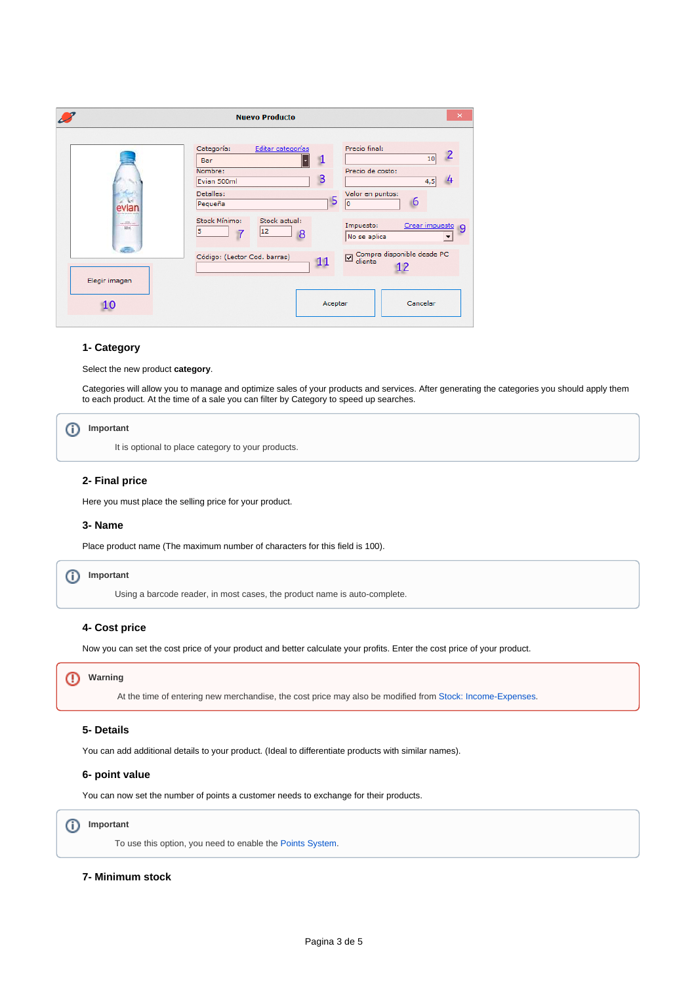|                             | <b>Nuevo Producto</b>                                                                                                                                                                                                                                                         | × |
|-----------------------------|-------------------------------------------------------------------------------------------------------------------------------------------------------------------------------------------------------------------------------------------------------------------------------|---|
| sealliness.<br><b>AM mi</b> | Precio final:<br>Categoría:<br>Editar categorías<br>10<br>л<br>Bar<br>Nombre:<br>Precio de costo:<br>B<br>Evian 500ml<br>4,5<br>Detalles:<br>Valor en puntos:<br>5<br>6<br>lo.<br>Pequeña<br>Stock Mínimo:<br>Stock actual:<br>Crear impuesto 9<br>Impuesto:<br>12<br>l5<br>8 |   |
| Elegir imagen<br>10         | No se aplica<br>Compra disponible desde PC<br>$\overline{\mathbf{z}}$<br>Código: (Lector Cod. barras)<br>11<br>cliente<br>12<br>Cancelar<br>Aceptar                                                                                                                           |   |

#### <span id="page-2-0"></span>**1- Category**

Select the new product **category**.

Categories will allow you to manage and optimize sales of your products and services. After generating the categories you should apply them to each product. At the time of a sale you can filter by Category to speed up searches.

#### **Important** ൘

It is optional to place category to your products.

#### <span id="page-2-1"></span>**2- Final price**

Here you must place the selling price for your product.

#### <span id="page-2-2"></span>**3- Name**

Place product name (The maximum number of characters for this field is 100).

### **Important**

Using a barcode reader, in most cases, the product name is auto-complete.

#### <span id="page-2-3"></span>**4- Cost price**

Now you can set the cost price of your product and better calculate your profits. Enter the cost price of your product.

#### **Warning**

At the time of entering new merchandise, the cost price may also be modified from [Stock: Income-Expenses](https://tenaxsoft.com/c2?568).

### <span id="page-2-4"></span>**5- Details**

You can add additional details to your product. (Ideal to differentiate products with similar names).

#### <span id="page-2-5"></span>**6- point value**

You can now set the number of points a customer needs to exchange for their products.

#### **Important** ന

To use this option, you need to enable the [Points System](http://docs.tenaxsoft.com/display/CYB65/Sistema+de+Puntos).

#### <span id="page-2-6"></span>**7- Minimum stock**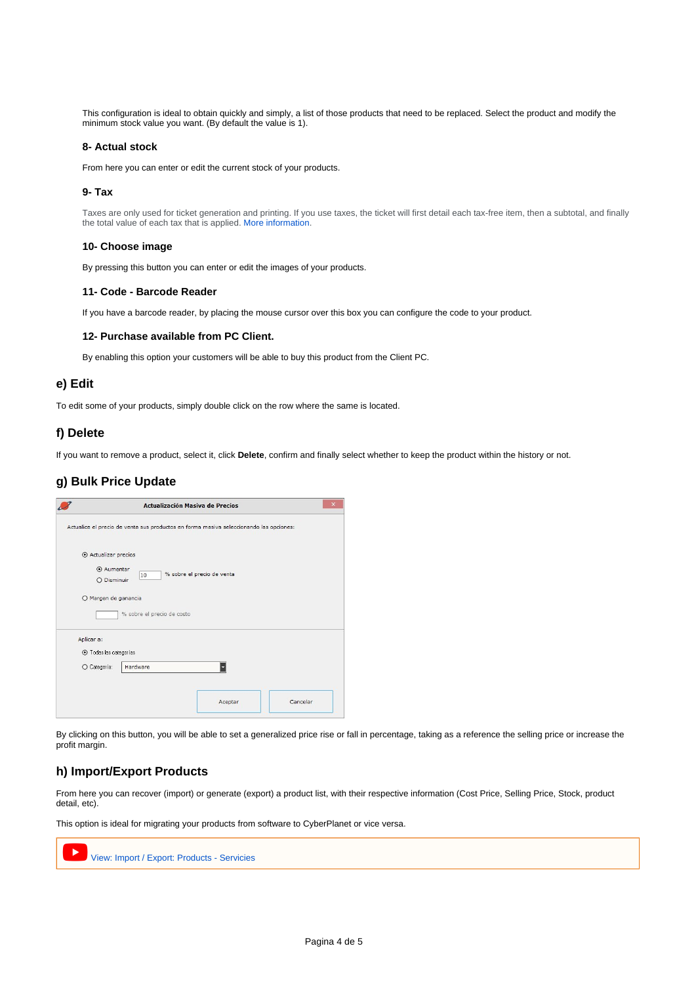This configuration is ideal to obtain quickly and simply, a list of those products that need to be replaced. Select the product and modify the minimum stock value you want. (By default the value is 1).

#### <span id="page-3-0"></span>**8- Actual stock**

From here you can enter or edit the current stock of your products.

#### <span id="page-3-1"></span>**9- Tax**

ത

Taxes are only used for ticket generation and printing. If you use taxes, the ticket will first detail each tax-free item, then a subtotal, and finally the total value of each tax that is applied. [More information.](http://docs.tenaxsoft.com/display/CYB65/Impuestos)

#### <span id="page-3-2"></span>**10- Choose image**

By pressing this button you can enter or edit the images of your products.

#### <span id="page-3-3"></span>**11- Code - Barcode Reader**

If you have a barcode reader, by placing the mouse cursor over this box you can configure the code to your product.

#### **12- Purchase available from PC Client.**

By enabling this option your customers will be able to buy this product from the Client PC.

#### <span id="page-3-5"></span><span id="page-3-4"></span>**e) Edit**

To edit some of your products, simply double click on the row where the same is located.

#### <span id="page-3-6"></span>**f) Delete**

If you want to remove a product, select it, click **Delete**, confirm and finally select whether to keep the product within the history or not.

#### <span id="page-3-7"></span>**g) Bulk Price Update**

| Actualice el precio de venta sus productos en forma masiva seleccionando las opciones:<br>Actualizar precios<br>Aumentar<br>% sobre el precio de venta<br>10<br>O Disminuir<br>O Margen de ganancia<br>% sobre el precio de costo<br>Aplicar a:<br>⊙ Todas las categorías | <b>Actualización Masiva de Precios</b> | × |
|---------------------------------------------------------------------------------------------------------------------------------------------------------------------------------------------------------------------------------------------------------------------------|----------------------------------------|---|
|                                                                                                                                                                                                                                                                           |                                        |   |
|                                                                                                                                                                                                                                                                           |                                        |   |
|                                                                                                                                                                                                                                                                           |                                        |   |
|                                                                                                                                                                                                                                                                           |                                        |   |
|                                                                                                                                                                                                                                                                           |                                        |   |
|                                                                                                                                                                                                                                                                           |                                        |   |
| O Categoría:<br>Hardware                                                                                                                                                                                                                                                  |                                        |   |
|                                                                                                                                                                                                                                                                           |                                        |   |

By clicking on this button, you will be able to set a generalized price rise or fall in percentage, taking as a reference the selling price or increase the profit margin.

### <span id="page-3-8"></span>**h) Import/Export Products**

From here you can recover (import) or generate (export) a product list, with their respective information (Cost Price, Selling Price, Stock, product detail, etc).

This option is ideal for migrating your products from software to CyberPlanet or vice versa.

<span id="page-3-9"></span>